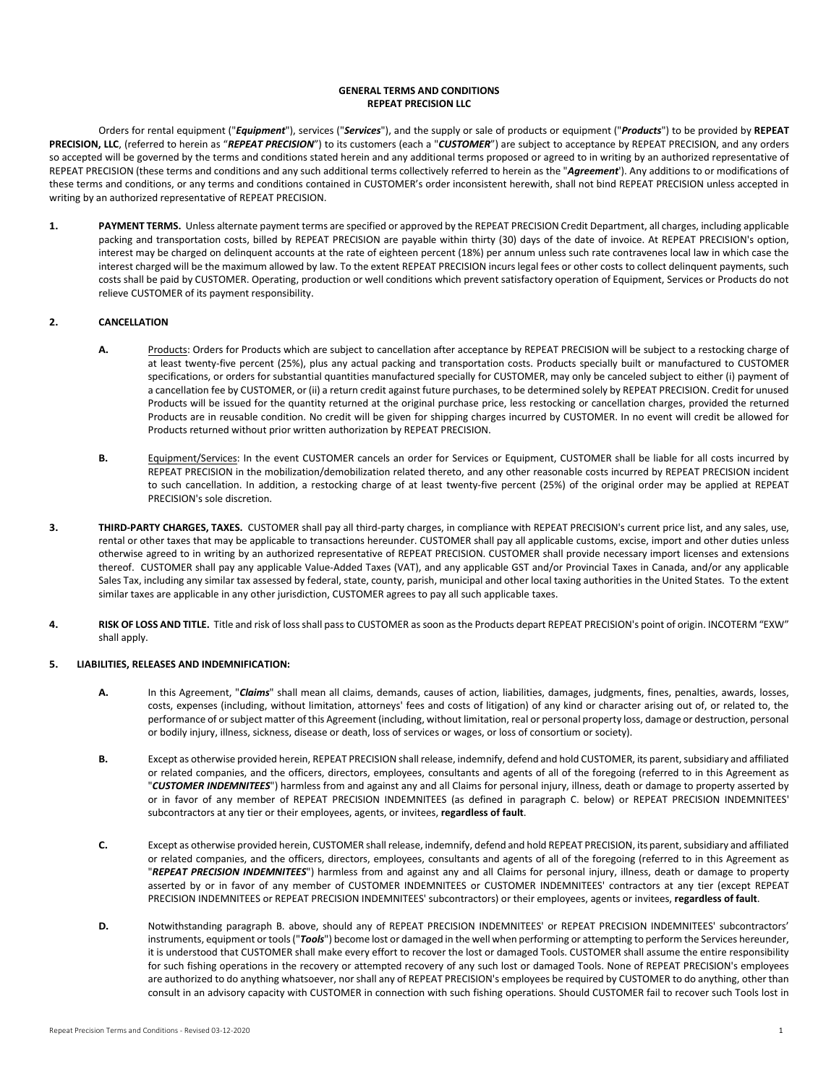# **GENERAL TERMS AND CONDITIONS REPEAT PRECISION LLC**

Orders for rental equipment ("*Equipment*"), services ("*Services*"), and the supply or sale of products or equipment ("*Products*") to be provided by **REPEAT PRECISION, LLC**, (referred to herein as "*REPEAT PRECISION*") to its customers (each a "*CUSTOMER*") are subject to acceptance by REPEAT PRECISION, and any orders so accepted will be governed by the terms and conditions stated herein and any additional terms proposed or agreed to in writing by an authorized representative of REPEAT PRECISION (these terms and conditions and any such additional terms collectively referred to herein as the "*Agreement*'). Any additions to or modifications of these terms and conditions, or any terms and conditions contained in CUSTOMER's order inconsistent herewith, shall not bind REPEAT PRECISION unless accepted in writing by an authorized representative of REPEAT PRECISION.

**1. PAYMENT TERMS.** Unless alternate payment terms are specified or approved by the REPEAT PRECISION Credit Department, all charges, including applicable packing and transportation costs, billed by REPEAT PRECISION are payable within thirty (30) days of the date of invoice. At REPEAT PRECISION's option, interest may be charged on delinquent accounts at the rate of eighteen percent (18%) per annum unless such rate contravenes local law in which case the interest charged will be the maximum allowed by law. To the extent REPEAT PRECISION incurs legal fees or other costs to collect delinquent payments, such costs shall be paid by CUSTOMER. Operating, production or well conditions which prevent satisfactory operation of Equipment, Services or Products do not relieve CUSTOMER of its payment responsibility.

### **2. CANCELLATION**

- **A.** Products: Orders for Products which are subject to cancellation after acceptance by REPEAT PRECISION will be subject to a restocking charge of at least twenty-five percent (25%), plus any actual packing and transportation costs. Products specially built or manufactured to CUSTOMER specifications, or orders for substantial quantities manufactured specially for CUSTOMER, may only be canceled subject to either (i) payment of a cancellation fee by CUSTOMER, or (ii) a return credit against future purchases, to be determined solely by REPEAT PRECISION. Credit for unused Products will be issued for the quantity returned at the original purchase price, less restocking or cancellation charges, provided the returned Products are in reusable condition. No credit will be given for shipping charges incurred by CUSTOMER. In no event will credit be allowed for Products returned without prior written authorization by REPEAT PRECISION.
- **B.** Equipment/Services: In the event CUSTOMER cancels an order for Services or Equipment, CUSTOMER shall be liable for all costs incurred by REPEAT PRECISION in the mobilization/demobilization related thereto, and any other reasonable costs incurred by REPEAT PRECISION incident to such cancellation. In addition, a restocking charge of at least twenty-five percent (25%) of the original order may be applied at REPEAT PRECISION's sole discretion.
- **3. THIRD-PARTY CHARGES, TAXES.** CUSTOMER shall pay all third-party charges, in compliance with REPEAT PRECISION's current price list, and any sales, use, rental or other taxes that may be applicable to transactions hereunder. CUSTOMER shall pay all applicable customs, excise, import and other duties unless otherwise agreed to in writing by an authorized representative of REPEAT PRECISION. CUSTOMER shall provide necessary import licenses and extensions thereof. CUSTOMER shall pay any applicable Value-Added Taxes (VAT), and any applicable GST and/or Provincial Taxes in Canada, and/or any applicable Sales Tax, including any similar tax assessed by federal, state, county, parish, municipal and other local taxing authorities in the United States. To the extent similar taxes are applicable in any other jurisdiction, CUSTOMER agrees to pay all such applicable taxes.
- **4. RISK OF LOSS AND TITLE.** Title and risk of loss shall pass to CUSTOMER as soon as the Products depart REPEAT PRECISION's point of origin. INCOTERM "EXW" shall apply.

#### **5. LIABILITIES, RELEASES AND INDEMNIFICATION:**

- **A.** In this Agreement, "*Claims*" shall mean all claims, demands, causes of action, liabilities, damages, judgments, fines, penalties, awards, losses, costs, expenses (including, without limitation, attorneys' fees and costs of litigation) of any kind or character arising out of, or related to, the performance of or subject matter of this Agreement (including, without limitation, real or personal property loss, damage or destruction, personal or bodily injury, illness, sickness, disease or death, loss of services or wages, or loss of consortium or society).
- **B.** Except as otherwise provided herein, REPEAT PRECISION shall release, indemnify, defend and hold CUSTOMER, its parent, subsidiary and affiliated or related companies, and the officers, directors, employees, consultants and agents of all of the foregoing (referred to in this Agreement as "*CUSTOMER INDEMNITEES*") harmless from and against any and all Claims for personal injury, illness, death or damage to property asserted by or in favor of any member of REPEAT PRECISION INDEMNITEES (as defined in paragraph C. below) or REPEAT PRECISION INDEMNITEES' subcontractors at any tier or their employees, agents, or invitees, **regardless of fault**.
- **C.** Except as otherwise provided herein, CUSTOMER shall release, indemnify, defend and hold REPEAT PRECISION, its parent, subsidiary and affiliated or related companies, and the officers, directors, employees, consultants and agents of all of the foregoing (referred to in this Agreement as "*REPEAT PRECISION INDEMNITEES*") harmless from and against any and all Claims for personal injury, illness, death or damage to property asserted by or in favor of any member of CUSTOMER INDEMNITEES or CUSTOMER INDEMNITEES' contractors at any tier (except REPEAT PRECISION INDEMNITEES or REPEAT PRECISION INDEMNITEES' subcontractors) or their employees, agents or invitees, **regardless of fault**.
- **D.** Notwithstanding paragraph B. above, should any of REPEAT PRECISION INDEMNITEES' or REPEAT PRECISION INDEMNITEES' subcontractors' instruments, equipment or tools ("*Tools*") become lost or damaged in the well when performing or attempting to perform the Services hereunder, it is understood that CUSTOMER shall make every effort to recover the lost or damaged Tools. CUSTOMER shall assume the entire responsibility for such fishing operations in the recovery or attempted recovery of any such lost or damaged Tools. None of REPEAT PRECISION's employees are authorized to do anything whatsoever, nor shall any of REPEAT PRECISION's employees be required by CUSTOMER to do anything, other than consult in an advisory capacity with CUSTOMER in connection with such fishing operations. Should CUSTOMER fail to recover such Tools lost in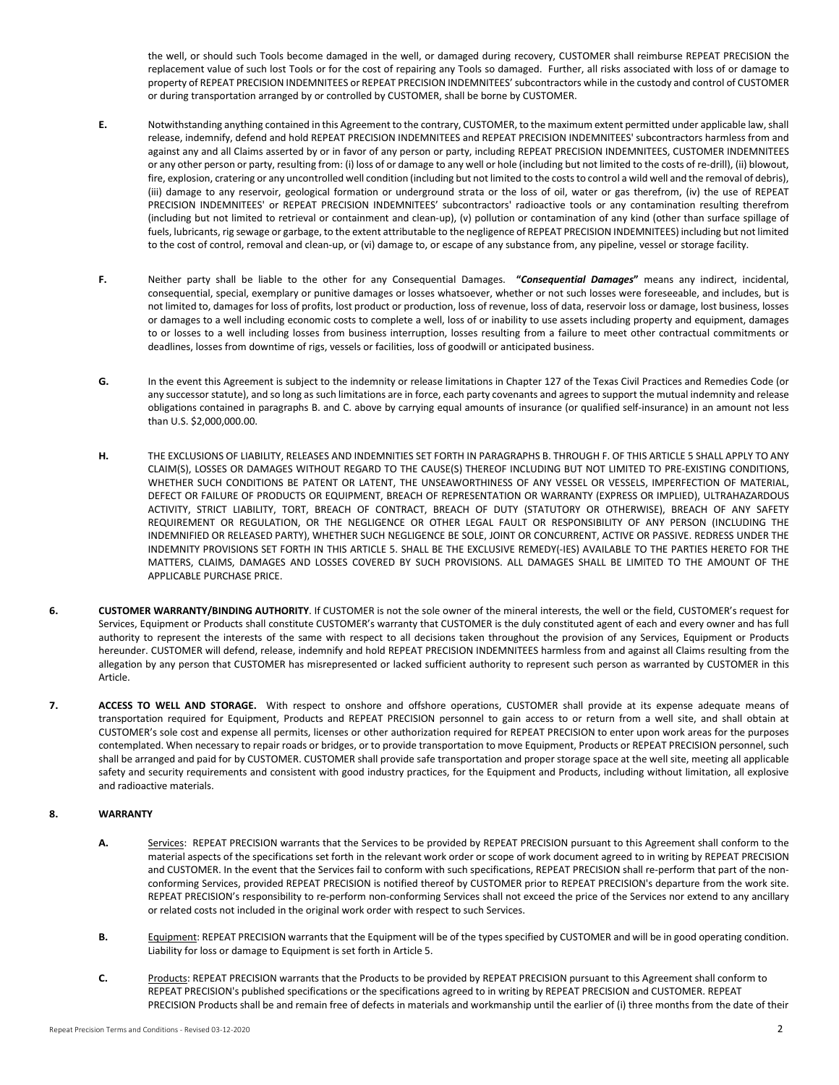the well, or should such Tools become damaged in the well, or damaged during recovery, CUSTOMER shall reimburse REPEAT PRECISION the replacement value of such lost Tools or for the cost of repairing any Tools so damaged. Further, all risks associated with loss of or damage to property of REPEAT PRECISION INDEMNITEES or REPEAT PRECISION INDEMNITEES' subcontractors while in the custody and control of CUSTOMER or during transportation arranged by or controlled by CUSTOMER, shall be borne by CUSTOMER.

- **E.** Notwithstanding anything contained in this Agreement to the contrary, CUSTOMER, to the maximum extent permitted under applicable law, shall release, indemnify, defend and hold REPEAT PRECISION INDEMNITEES and REPEAT PRECISION INDEMNITEES' subcontractors harmless from and against any and all Claims asserted by or in favor of any person or party, including REPEAT PRECISION INDEMNITEES, CUSTOMER INDEMNITEES or any other person or party, resulting from: (i) loss of or damage to any well or hole (including but not limited to the costs of re-drill), (ii) blowout, fire, explosion, cratering or any uncontrolled well condition (including but not limited to the costs to control a wild well and the removal of debris), (iii) damage to any reservoir, geological formation or underground strata or the loss of oil, water or gas therefrom, (iv) the use of REPEAT PRECISION INDEMNITEES' or REPEAT PRECISION INDEMNITEES' subcontractors' radioactive tools or any contamination resulting therefrom (including but not limited to retrieval or containment and clean-up), (v) pollution or contamination of any kind (other than surface spillage of fuels, lubricants, rig sewage or garbage, to the extent attributable to the negligence of REPEAT PRECISION INDEMNITEES) including but not limited to the cost of control, removal and clean-up, or (vi) damage to, or escape of any substance from, any pipeline, vessel or storage facility.
- **F.** Neither party shall be liable to the other for any Consequential Damages. **"***Consequential Damages***"** means any indirect, incidental, consequential, special, exemplary or punitive damages or losses whatsoever, whether or not such losses were foreseeable, and includes, but is not limited to, damages for loss of profits, lost product or production, loss of revenue, loss of data, reservoir loss or damage, lost business, losses or damages to a well including economic costs to complete a well, loss of or inability to use assets including property and equipment, damages to or losses to a well including losses from business interruption, losses resulting from a failure to meet other contractual commitments or deadlines, losses from downtime of rigs, vessels or facilities, loss of goodwill or anticipated business.
- **G.** In the event this Agreement is subject to the indemnity or release limitations in Chapter 127 of the Texas Civil Practices and Remedies Code (or any successor statute), and so long as such limitations are in force, each party covenants and agrees to support the mutual indemnity and release obligations contained in paragraphs B. and C. above by carrying equal amounts of insurance (or qualified self-insurance) in an amount not less than U.S. \$2,000,000.00.
- **H.** THE EXCLUSIONS OF LIABILITY, RELEASES AND INDEMNITIES SET FORTH IN PARAGRAPHS B. THROUGH F. OF THIS ARTICLE 5 SHALL APPLY TO ANY CLAIM(S), LOSSES OR DAMAGES WITHOUT REGARD TO THE CAUSE(S) THEREOF INCLUDING BUT NOT LIMITED TO PRE-EXISTING CONDITIONS, WHETHER SUCH CONDITIONS BE PATENT OR LATENT, THE UNSEAWORTHINESS OF ANY VESSEL OR VESSELS, IMPERFECTION OF MATERIAL, DEFECT OR FAILURE OF PRODUCTS OR EQUIPMENT, BREACH OF REPRESENTATION OR WARRANTY (EXPRESS OR IMPLIED), ULTRAHAZARDOUS ACTIVITY, STRICT LIABILITY, TORT, BREACH OF CONTRACT, BREACH OF DUTY (STATUTORY OR OTHERWISE), BREACH OF ANY SAFETY REQUIREMENT OR REGULATION, OR THE NEGLIGENCE OR OTHER LEGAL FAULT OR RESPONSIBILITY OF ANY PERSON (INCLUDING THE INDEMNIFIED OR RELEASED PARTY), WHETHER SUCH NEGLIGENCE BE SOLE, JOINT OR CONCURRENT, ACTIVE OR PASSIVE. REDRESS UNDER THE INDEMNITY PROVISIONS SET FORTH IN THIS ARTICLE 5. SHALL BE THE EXCLUSIVE REMEDY(-IES) AVAILABLE TO THE PARTIES HERETO FOR THE MATTERS, CLAIMS, DAMAGES AND LOSSES COVERED BY SUCH PROVISIONS. ALL DAMAGES SHALL BE LIMITED TO THE AMOUNT OF THE APPLICABLE PURCHASE PRICE.
- **6. CUSTOMER WARRANTY/BINDING AUTHORITY**. If CUSTOMER is not the sole owner of the mineral interests, the well or the field, CUSTOMER's request for Services, Equipment or Products shall constitute CUSTOMER's warranty that CUSTOMER is the duly constituted agent of each and every owner and has full authority to represent the interests of the same with respect to all decisions taken throughout the provision of any Services, Equipment or Products hereunder. CUSTOMER will defend, release, indemnify and hold REPEAT PRECISION INDEMNITEES harmless from and against all Claims resulting from the allegation by any person that CUSTOMER has misrepresented or lacked sufficient authority to represent such person as warranted by CUSTOMER in this Article.
- **7. ACCESS TO WELL AND STORAGE.** With respect to onshore and offshore operations, CUSTOMER shall provide at its expense adequate means of transportation required for Equipment, Products and REPEAT PRECISION personnel to gain access to or return from a well site, and shall obtain at CUSTOMER's sole cost and expense all permits, licenses or other authorization required for REPEAT PRECISION to enter upon work areas for the purposes contemplated. When necessary to repair roads or bridges, or to provide transportation to move Equipment, Products or REPEAT PRECISION personnel, such shall be arranged and paid for by CUSTOMER. CUSTOMER shall provide safe transportation and proper storage space at the well site, meeting all applicable safety and security requirements and consistent with good industry practices, for the Equipment and Products, including without limitation, all explosive and radioactive materials.

# **8. WARRANTY**

- **A.** Services: REPEAT PRECISION warrants that the Services to be provided by REPEAT PRECISION pursuant to this Agreement shall conform to the material aspects of the specifications set forth in the relevant work order or scope of work document agreed to in writing by REPEAT PRECISION and CUSTOMER. In the event that the Services fail to conform with such specifications, REPEAT PRECISION shall re-perform that part of the nonconforming Services, provided REPEAT PRECISION is notified thereof by CUSTOMER prior to REPEAT PRECISION's departure from the work site. REPEAT PRECISION's responsibility to re-perform non-conforming Services shall not exceed the price of the Services nor extend to any ancillary or related costs not included in the original work order with respect to such Services.
- **B.** Equipment: REPEAT PRECISION warrants that the Equipment will be of the types specified by CUSTOMER and will be in good operating condition. Liability for loss or damage to Equipment is set forth in Article 5.
- **C.** Products: REPEAT PRECISION warrants that the Products to be provided by REPEAT PRECISION pursuant to this Agreement shall conform to REPEAT PRECISION's published specifications or the specifications agreed to in writing by REPEAT PRECISION and CUSTOMER. REPEAT PRECISION Products shall be and remain free of defects in materials and workmanship until the earlier of (i) three months from the date of their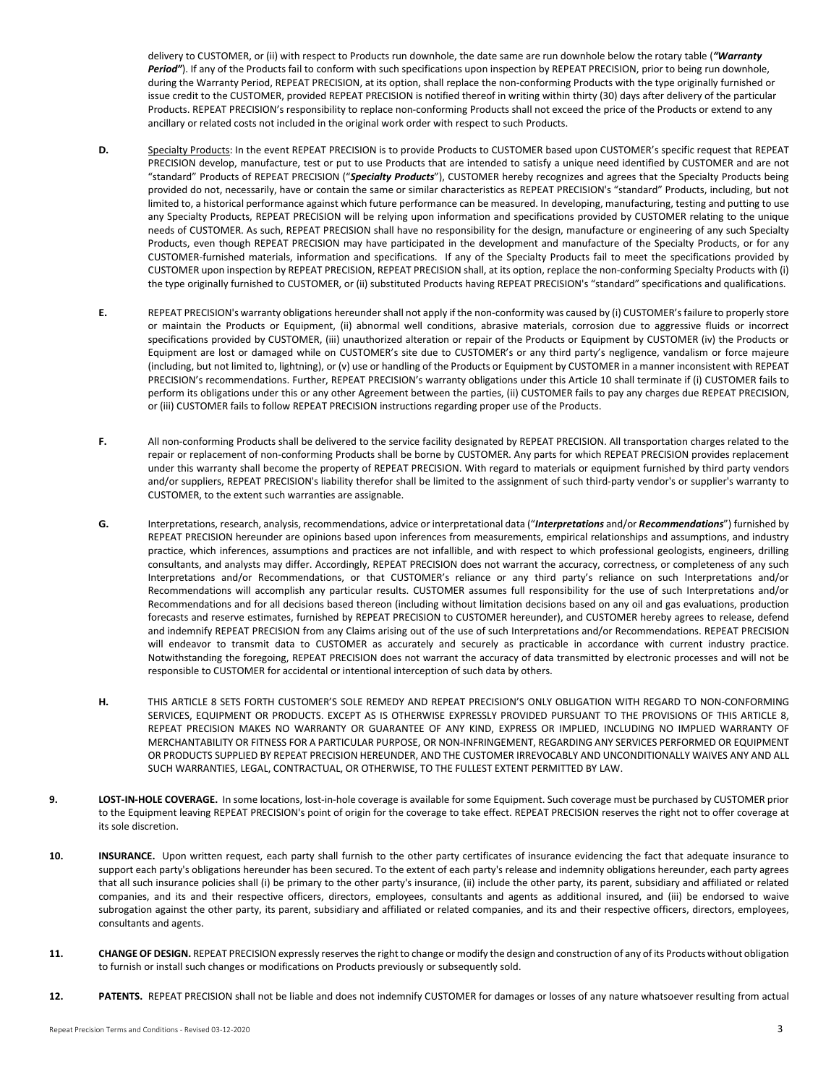delivery to CUSTOMER, or (ii) with respect to Products run downhole, the date same are run downhole below the rotary table (*"Warranty*  Period"). If any of the Products fail to conform with such specifications upon inspection by REPEAT PRECISION, prior to being run downhole, during the Warranty Period, REPEAT PRECISION, at its option, shall replace the non-conforming Products with the type originally furnished or issue credit to the CUSTOMER, provided REPEAT PRECISION is notified thereof in writing within thirty (30) days after delivery of the particular Products. REPEAT PRECISION's responsibility to replace non-conforming Products shall not exceed the price of the Products or extend to any ancillary or related costs not included in the original work order with respect to such Products.

- D. Specialty Products: In the event REPEAT PRECISION is to provide Products to CUSTOMER based upon CUSTOMER's specific request that REPEAT PRECISION develop, manufacture, test or put to use Products that are intended to satisfy a unique need identified by CUSTOMER and are not "standard" Products of REPEAT PRECISION ("*Specialty Products*"), CUSTOMER hereby recognizes and agrees that the Specialty Products being provided do not, necessarily, have or contain the same or similar characteristics as REPEAT PRECISION's "standard" Products, including, but not limited to, a historical performance against which future performance can be measured. In developing, manufacturing, testing and putting to use any Specialty Products, REPEAT PRECISION will be relying upon information and specifications provided by CUSTOMER relating to the unique needs of CUSTOMER. As such, REPEAT PRECISION shall have no responsibility for the design, manufacture or engineering of any such Specialty Products, even though REPEAT PRECISION may have participated in the development and manufacture of the Specialty Products, or for any CUSTOMER-furnished materials, information and specifications. If any of the Specialty Products fail to meet the specifications provided by CUSTOMER upon inspection by REPEAT PRECISION, REPEAT PRECISION shall, at its option, replace the non-conforming Specialty Products with (i) the type originally furnished to CUSTOMER, or (ii) substituted Products having REPEAT PRECISION's "standard" specifications and qualifications.
- **E.** REPEAT PRECISION's warranty obligations hereunder shall not apply if the non-conformity was caused by (i) CUSTOMER's failure to properly store or maintain the Products or Equipment, (ii) abnormal well conditions, abrasive materials, corrosion due to aggressive fluids or incorrect specifications provided by CUSTOMER, (iii) unauthorized alteration or repair of the Products or Equipment by CUSTOMER (iv) the Products or Equipment are lost or damaged while on CUSTOMER's site due to CUSTOMER's or any third party's negligence, vandalism or force majeure (including, but not limited to, lightning), or (v) use or handling of the Products or Equipment by CUSTOMER in a manner inconsistent with REPEAT PRECISION's recommendations. Further, REPEAT PRECISION's warranty obligations under this Article 10 shall terminate if (i) CUSTOMER fails to perform its obligations under this or any other Agreement between the parties, (ii) CUSTOMER fails to pay any charges due REPEAT PRECISION, or (iii) CUSTOMER fails to follow REPEAT PRECISION instructions regarding proper use of the Products.
- **F.** All non-conforming Products shall be delivered to the service facility designated by REPEAT PRECISION. All transportation charges related to the repair or replacement of non-conforming Products shall be borne by CUSTOMER. Any parts for which REPEAT PRECISION provides replacement under this warranty shall become the property of REPEAT PRECISION. With regard to materials or equipment furnished by third party vendors and/or suppliers, REPEAT PRECISION's liability therefor shall be limited to the assignment of such third-party vendor's or supplier's warranty to CUSTOMER, to the extent such warranties are assignable.
- **G.** Interpretations, research, analysis, recommendations, advice or interpretational data ("*Interpretations* and/or *Recommendations*") furnished by REPEAT PRECISION hereunder are opinions based upon inferences from measurements, empirical relationships and assumptions, and industry practice, which inferences, assumptions and practices are not infallible, and with respect to which professional geologists, engineers, drilling consultants, and analysts may differ. Accordingly, REPEAT PRECISION does not warrant the accuracy, correctness, or completeness of any such Interpretations and/or Recommendations, or that CUSTOMER's reliance or any third party's reliance on such Interpretations and/or Recommendations will accomplish any particular results. CUSTOMER assumes full responsibility for the use of such Interpretations and/or Recommendations and for all decisions based thereon (including without limitation decisions based on any oil and gas evaluations, production forecasts and reserve estimates, furnished by REPEAT PRECISION to CUSTOMER hereunder), and CUSTOMER hereby agrees to release, defend and indemnify REPEAT PRECISION from any Claims arising out of the use of such Interpretations and/or Recommendations. REPEAT PRECISION will endeavor to transmit data to CUSTOMER as accurately and securely as practicable in accordance with current industry practice. Notwithstanding the foregoing, REPEAT PRECISION does not warrant the accuracy of data transmitted by electronic processes and will not be responsible to CUSTOMER for accidental or intentional interception of such data by others.
- **H.** THIS ARTICLE 8 SETS FORTH CUSTOMER'S SOLE REMEDY AND REPEAT PRECISION'S ONLY OBLIGATION WITH REGARD TO NON-CONFORMING SERVICES, EQUIPMENT OR PRODUCTS. EXCEPT AS IS OTHERWISE EXPRESSLY PROVIDED PURSUANT TO THE PROVISIONS OF THIS ARTICLE 8, REPEAT PRECISION MAKES NO WARRANTY OR GUARANTEE OF ANY KIND, EXPRESS OR IMPLIED, INCLUDING NO IMPLIED WARRANTY OF MERCHANTABILITY OR FITNESS FOR A PARTICULAR PURPOSE, OR NON-INFRINGEMENT, REGARDING ANY SERVICES PERFORMED OR EQUIPMENT OR PRODUCTS SUPPLIED BY REPEAT PRECISION HEREUNDER, AND THE CUSTOMER IRREVOCABLY AND UNCONDITIONALLY WAIVES ANY AND ALL SUCH WARRANTIES, LEGAL, CONTRACTUAL, OR OTHERWISE, TO THE FULLEST EXTENT PERMITTED BY LAW.
- **9. LOST-IN-HOLE COVERAGE.** In some locations, lost-in-hole coverage is available for some Equipment. Such coverage must be purchased by CUSTOMER prior to the Equipment leaving REPEAT PRECISION's point of origin for the coverage to take effect. REPEAT PRECISION reserves the right not to offer coverage at its sole discretion.
- **10. INSURANCE.** Upon written request, each party shall furnish to the other party certificates of insurance evidencing the fact that adequate insurance to support each party's obligations hereunder has been secured. To the extent of each party's release and indemnity obligations hereunder, each party agrees that all such insurance policies shall (i) be primary to the other party's insurance, (ii) include the other party, its parent, subsidiary and affiliated or related companies, and its and their respective officers, directors, employees, consultants and agents as additional insured, and (iii) be endorsed to waive subrogation against the other party, its parent, subsidiary and affiliated or related companies, and its and their respective officers, directors, employees, consultants and agents.
- 11. CHANGE OF DESIGN. REPEAT PRECISION expressly reserves the right to change or modify the design and construction of any of its Products without obligation to furnish or install such changes or modifications on Products previously or subsequently sold.
- 12. **PATENTS.** REPEAT PRECISION shall not be liable and does not indemnify CUSTOMER for damages or losses of any nature whatsoever resulting from actual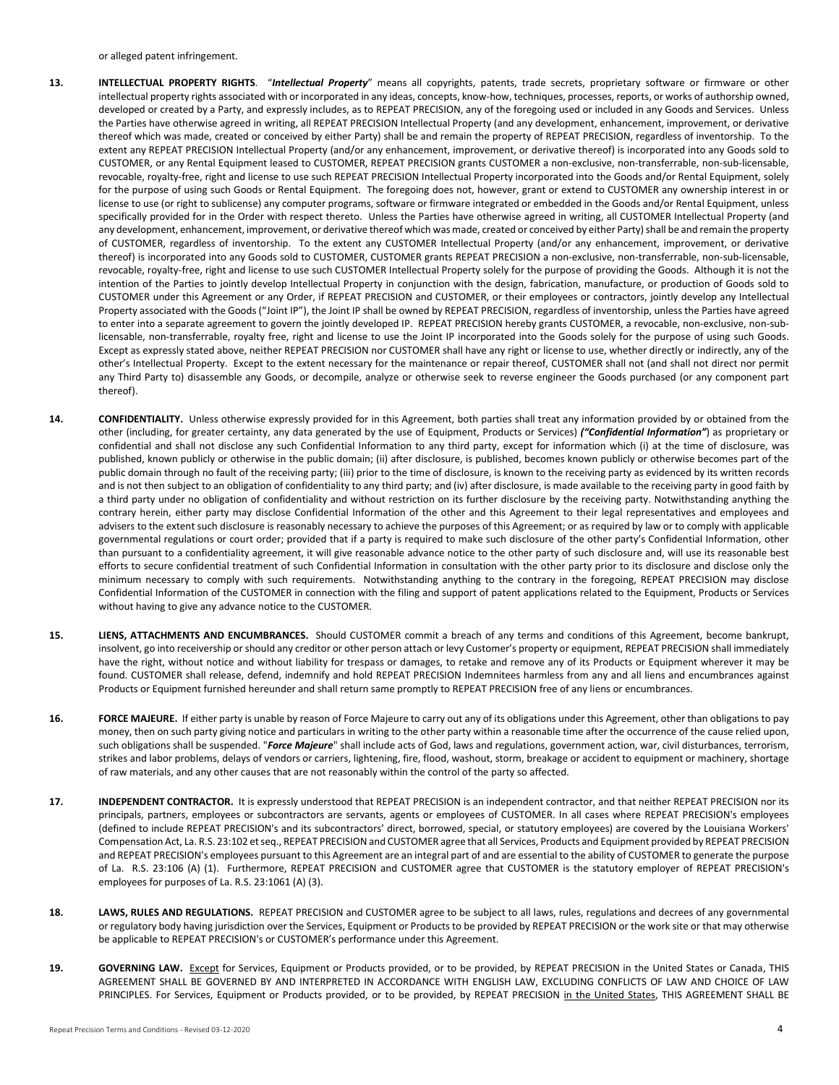or alleged patent infringement.

- **13. INTELLECTUAL PROPERTY RIGHTS**. "*Intellectual Property*" means all copyrights, patents, trade secrets, proprietary software or firmware or other intellectual property rights associated with or incorporated in any ideas, concepts, know-how, techniques, processes, reports, or works of authorship owned, developed or created by a Party, and expressly includes, as to REPEAT PRECISION, any of the foregoing used or included in any Goods and Services. Unless the Parties have otherwise agreed in writing, all REPEAT PRECISION Intellectual Property (and any development, enhancement, improvement, or derivative thereof which was made, created or conceived by either Party) shall be and remain the property of REPEAT PRECISION, regardless of inventorship. To the extent any REPEAT PRECISION Intellectual Property (and/or any enhancement, improvement, or derivative thereof) is incorporated into any Goods sold to CUSTOMER, or any Rental Equipment leased to CUSTOMER, REPEAT PRECISION grants CUSTOMER a non-exclusive, non-transferrable, non-sub-licensable, revocable, royalty-free, right and license to use such REPEAT PRECISION Intellectual Property incorporated into the Goods and/or Rental Equipment, solely for the purpose of using such Goods or Rental Equipment. The foregoing does not, however, grant or extend to CUSTOMER any ownership interest in or license to use (or right to sublicense) any computer programs, software or firmware integrated or embedded in the Goods and/or Rental Equipment, unless specifically provided for in the Order with respect thereto. Unless the Parties have otherwise agreed in writing, all CUSTOMER Intellectual Property (and any development, enhancement, improvement, or derivative thereof which was made, created or conceived by either Party) shall be and remain the property of CUSTOMER, regardless of inventorship. To the extent any CUSTOMER Intellectual Property (and/or any enhancement, improvement, or derivative thereof) is incorporated into any Goods sold to CUSTOMER, CUSTOMER grants REPEAT PRECISION a non-exclusive, non-transferrable, non-sub-licensable, revocable, royalty-free, right and license to use such CUSTOMER Intellectual Property solely for the purpose of providing the Goods. Although it is not the intention of the Parties to jointly develop Intellectual Property in conjunction with the design, fabrication, manufacture, or production of Goods sold to CUSTOMER under this Agreement or any Order, if REPEAT PRECISION and CUSTOMER, or their employees or contractors, jointly develop any Intellectual Property associated with the Goods ("Joint IP"), the Joint IP shall be owned by REPEAT PRECISION, regardless of inventorship, unless the Parties have agreed to enter into a separate agreement to govern the jointly developed IP. REPEAT PRECISION hereby grants CUSTOMER, a revocable, non-exclusive, non-sublicensable, non-transferrable, royalty free, right and license to use the Joint IP incorporated into the Goods solely for the purpose of using such Goods. Except as expressly stated above, neither REPEAT PRECISION nor CUSTOMER shall have any right or license to use, whether directly or indirectly, any of the other's Intellectual Property. Except to the extent necessary for the maintenance or repair thereof, CUSTOMER shall not (and shall not direct nor permit any Third Party to) disassemble any Goods, or decompile, analyze or otherwise seek to reverse engineer the Goods purchased (or any component part thereof).
- **14. CONFIDENTIALITY.** Unless otherwise expressly provided for in this Agreement, both parties shall treat any information provided by or obtained from the other (including, for greater certainty, any data generated by the use of Equipment, Products or Services) *("Confidential Information"*) as proprietary or confidential and shall not disclose any such Confidential Information to any third party, except for information which (i) at the time of disclosure, was published, known publicly or otherwise in the public domain; (ii) after disclosure, is published, becomes known publicly or otherwise becomes part of the public domain through no fault of the receiving party; (iii) prior to the time of disclosure, is known to the receiving party as evidenced by its written records and is not then subject to an obligation of confidentiality to any third party; and (iv) after disclosure, is made available to the receiving party in good faith by a third party under no obligation of confidentiality and without restriction on its further disclosure by the receiving party. Notwithstanding anything the contrary herein, either party may disclose Confidential Information of the other and this Agreement to their legal representatives and employees and advisers to the extent such disclosure is reasonably necessary to achieve the purposes of this Agreement; or as required by law or to comply with applicable governmental regulations or court order; provided that if a party is required to make such disclosure of the other party's Confidential Information, other than pursuant to a confidentiality agreement, it will give reasonable advance notice to the other party of such disclosure and, will use its reasonable best efforts to secure confidential treatment of such Confidential Information in consultation with the other party prior to its disclosure and disclose only the minimum necessary to comply with such requirements. Notwithstanding anything to the contrary in the foregoing, REPEAT PRECISION may disclose Confidential Information of the CUSTOMER in connection with the filing and support of patent applications related to the Equipment, Products or Services without having to give any advance notice to the CUSTOMER.
- **15. LIENS, ATTACHMENTS AND ENCUMBRANCES.** Should CUSTOMER commit a breach of any terms and conditions of this Agreement, become bankrupt, insolvent, go into receivership or should any creditor or other person attach or levy Customer's property or equipment, REPEAT PRECISION shall immediately have the right, without notice and without liability for trespass or damages, to retake and remove any of its Products or Equipment wherever it may be found. CUSTOMER shall release, defend, indemnify and hold REPEAT PRECISION Indemnitees harmless from any and all liens and encumbrances against Products or Equipment furnished hereunder and shall return same promptly to REPEAT PRECISION free of any liens or encumbrances.
- **16. FORCE MAJEURE.** If either party is unable by reason of Force Majeure to carry out any of its obligations under this Agreement, other than obligations to pay money, then on such party giving notice and particulars in writing to the other party within a reasonable time after the occurrence of the cause relied upon, such obligations shall be suspended. "*Force Majeure*" shall include acts of God, laws and regulations, government action, war, civil disturbances, terrorism, strikes and labor problems, delays of vendors or carriers, lightening, fire, flood, washout, storm, breakage or accident to equipment or machinery, shortage of raw materials, and any other causes that are not reasonably within the control of the party so affected.
- **17. INDEPENDENT CONTRACTOR.** It is expressly understood that REPEAT PRECISION is an independent contractor, and that neither REPEAT PRECISION nor its principals, partners, employees or subcontractors are servants, agents or employees of CUSTOMER. In all cases where REPEAT PRECISION's employees (defined to include REPEAT PRECISION's and its subcontractors' direct, borrowed, special, or statutory employees) are covered by the Louisiana Workers' Compensation Act, La. R.S. 23:102 et seq., REPEAT PRECISIONand CUSTOMER agree that all Services, Products and Equipment provided by REPEAT PRECISION and REPEAT PRECISION's employees pursuant to this Agreement are an integral part of and are essential to the ability of CUSTOMER to generate the purpose of La. R.S. 23:106 (A) (1). Furthermore, REPEAT PRECISION and CUSTOMER agree that CUSTOMER is the statutory employer of REPEAT PRECISION's employees for purposes of La. R.S. 23:1061 (A) (3).
- **18. LAWS, RULES AND REGULATIONS.** REPEAT PRECISION and CUSTOMER agree to be subject to all laws, rules, regulations and decrees of any governmental or regulatory body having jurisdiction over the Services, Equipment or Products to be provided by REPEAT PRECISION or the work site or that may otherwise be applicable to REPEAT PRECISION's or CUSTOMER's performance under this Agreement.
- 19. **GOVERNING LAW.** Except for Services, Equipment or Products provided, or to be provided, by REPEAT PRECISION in the United States or Canada, THIS AGREEMENT SHALL BE GOVERNED BY AND INTERPRETED IN ACCORDANCE WITH ENGLISH LAW, EXCLUDING CONFLICTS OF LAW AND CHOICE OF LAW PRINCIPLES. For Services, Equipment or Products provided, or to be provided, by REPEAT PRECISION in the United States, THIS AGREEMENT SHALL BE